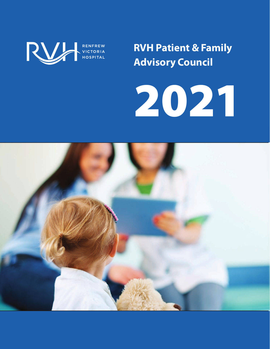

**RVH Patient & Family Advisory Council**

# 2021

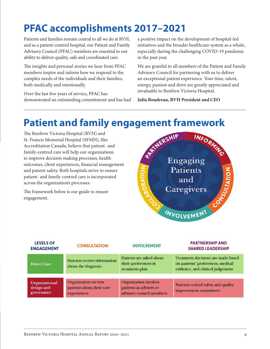## **PFAC accomplishments 2017–2021**

Patients and families remain central to all we do at RVH, and as a patient-centred hospital, our Patient and Family Advisory Council (PFAC) members are essential to our ability to deliver quality, safe and coordinated care.

The insights and personal stories we hear from PFAC members inspire and inform how we respond to the complex needs of the individuals and their families, both medically and emotionally.

Over the last few years of service, PFAC has demonstrated an outstanding commitment and has had a positive impact on the development of hospital-led initiatives and the broader healthcare system as a whole, especially during the challenging COVID-19 pandemic in the past year.

We are grateful to all members of the Patient and Family Advisory Council for partnering with us to deliver an exceptional patient experience. Your time, talent, energy, passion and drive are greatly appreciated and invaluable to Renfrew Victoria Hospital.

**Julia Boudreau, RVH President and CEO**

The Renfrew Victoria Hospital (RVH) and St. Francis Memorial Hospital (SFMH), like Accreditation Canada, believe that patient- and family-centred care will help our organizations to improve decision making processes, health outcomes, client experiences, financial management and patient safety. Both hospitals strive to ensure patient- and family-centred care is incorporated across the organization's processes.

The framework below is our guide to ensure engagement.



| <b>LEVELS OF</b><br><b>ENGAGEMENT</b>      | <b>CONSULTATION</b>                                                     | <b>INVOLVEMENT</b>                                                                  | <b>PARTNERSHIP AND</b><br><b>SHARED LEADERSHIP</b>                                                          |
|--------------------------------------------|-------------------------------------------------------------------------|-------------------------------------------------------------------------------------|-------------------------------------------------------------------------------------------------------------|
| <b>Direct Care</b>                         | Patients receive information<br>about the diagnosis                     | Patients are asked about<br>their preferences in<br>treatment plan                  | Treatment decisions are made based<br>on patients' preferences, medical<br>evidence, and clinical judgement |
| Organizational<br>design and<br>governance | <b>Organization surveys</b><br>patients about their care<br>experiences | <b>Organization involves</b><br>patients as advisers or<br>advisory council members | Patients co-lead safety and quality<br>improvement committees                                               |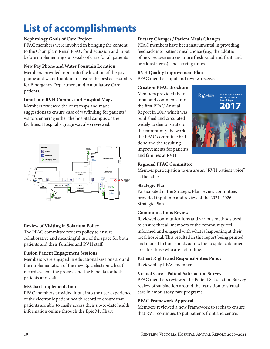## **List of accomplishments**

#### **Nephrology Goals of Care Project**

PFAC members were involved in bringing the content to the Champlain Renal PFAC for discussion and input before implementing our Goals of Care for all patients

#### **New Pay Phone and Water Fountain Location**

Members provided input into the location of the pay phone and water fountain to ensure the best accessibility for Emergency Department and Ambulatory Care patients.

#### **Input into RVH Campus and Hospital Maps**

Members reviewed the draft maps and made suggestions to ensure ease of wayfinding for patients/ visitors entering either the hospital campus or the facilities. Hospital signage was also reviewed.



### **Review of Visiting in Solarium Policy**

The PFAC committee reviews policy to ensure collaborative and meaningful use of the space for both patients and their families and RVH staff.

### **Fusion Patient Engagement Sessions**

Members were engaged in educational sessions around the implementation of the new Epic electronic health record system, the process and the benefits for both patients and staff.

### **MyChart Implementation**

PFAC members provided input into the user experience of the electronic patient health record to ensure that patients are able to easily access their up-to-date health information online through the Epic MyChart

### **Dietary Changes / Patient Meals Changes**

PFAC members have been instrumental in providing feedback into patient meal choice (e.g., the addition of new recipes/entrees, more fresh salad and fruit, and breakfast items), and serving times.

#### **RVH Quality Improvement Plan**

PFAC member input and review received.

#### **Creation PFAC Brochure**

Members provided their input and comments into the first PFAC Annual Report in 2017 which was published and circulated widely to demonstrate to the community the work the PFAC committee had done and the resulting improvements for patients and families at RVH.



#### **Regional PFAC Committee**

Member participation to ensure an "RVH patient voice" at the table.

#### **Strategic Plan**

Participated in the Strategic Plan review committee, provided input into and review of the 2021–2026 Strategic Plan.

#### **Communications Review**

Reviewed communications and various methods used to ensure that all members of the community feel informed and engaged with what is happening at their local hospital. This resulted in this report being printed and mailed to households across the hospital catchment area for those who are not online.

**Patient Rights and Responsibilities Policy** Reviewed by PFAC members.

#### **Virtual Care – Patient Satisfaction Survey**

PFAC members reviewed the Patient Satisfaction Survey review of satisfaction around the transition to virtual care in ambulatory care programs.

#### **PFAC Framework Approval**

Members reviewed a new Framework to seeks to ensure that RVH continues to put patients front and centre.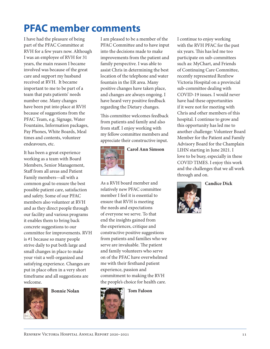## **PFAC member comments**

I have had the pleasure of being part of the PFAC Committee at RVH for a few years now. Although I was an employee of RVH for 31 years, the main reason I became involved was because of the great care and support my husband received at RVH. It became important to me to be part of a team that puts patients' needs number one. Many changes have been put into place at RVH because of suggestions from the PFAC Team, e.g. Signage, Water Fountains, Information packages, Pay Phones, White Boards, Meal times and contents, volunteer endeavours, etc.

It has been a great experience working as a team with Board Members, Senior Management, Staff from all areas and Patient Family members—all with a common goal to ensure the best possible patient care, satisfaction and safety. Some of our PFAC members also volunteer at RVH and as they direct people through our facility and various programs it enables them to bring back concrete suggestions to our committee for improvements. RVH is #1 because so many people strive daily to put both large and small changes in place to make your visit a well-organized and satisfying experience. Changes are put in place often in a very short timeframe and all suggestions are welcome.



**Bonnie Nolan**

I am pleased to be a member of the PFAC Committee and to have input into the decisions made to make improvements from the patient and family perspective. I was able to assist Chris in determining the best location of the telephone and water fountain in the ER area. Many positive changes have taken place, and changes are always ongoing. I have heard very positive feedback regarding the Dietary changes.

This committee welcomes feedback from patients and family and also from staff. I enjoy working with my fellow committee members and appreciate their constructive input.



**Carol Ann Simson**

As a RVH board member and relatively new PFAC committee member I feel it is essential to ensure that RVH is meeting the needs and expectations of everyone we serve. To that end the insights gained from the experiences, critique and constructive positive suggestions from patients and families who we serve are invaluable. The patient and family volunteers who serve on of the PFAC have overwhelmed me with their firsthand patient experience, passion and commitment to making the RVH the people's choice for health care.

#### **Tom Faloon**

I continue to enjoy working with the RVH PFAC for the past six years. This has led me too participate on sub-committees such as: MyChart, and Friends of Continuing Care Committee, recently represented Renfrew Victoria Hospital on a provincial sub-committee dealing with COVID-19 issues. I would never have had these opportunities if it were not for meeting with Chris and other members of this hospital. I continue to grow and this opportunity has led me to another challenge: Volunteer Board Member for the Patient and Family Advisory Board for the Champlain LIHN starting in June 2021. I love to be busy, especially in these COVID TIMES. I enjoy this work and the challenges that we all work through and on.



#### **Candice Dick**